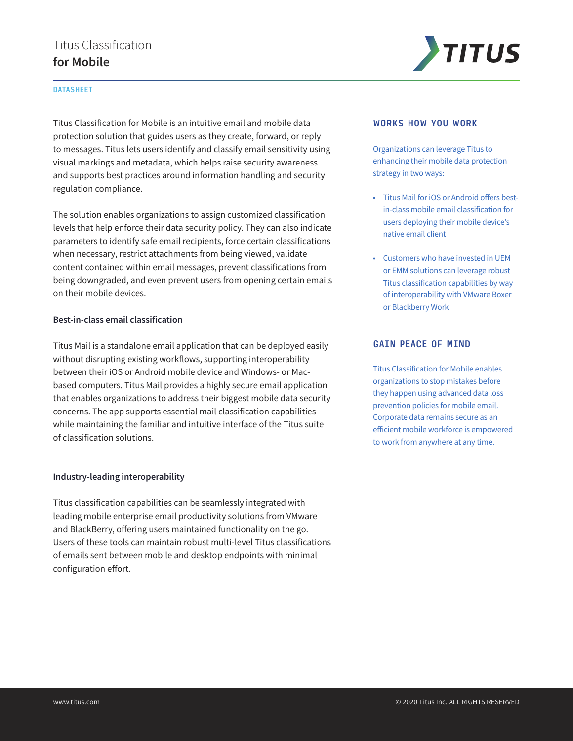# Titus Classification **for Mobile**

#### DATASHEET

Titus Classification for Mobile is an intuitive email and mobile data protection solution that guides users as they create, forward, or reply to messages. Titus lets users identify and classify email sensitivity using visual markings and metadata, which helps raise security awareness and supports best practices around information handling and security regulation compliance.

The solution enables organizations to assign customized classification levels that help enforce their data security policy. They can also indicate parameters to identify safe email recipients, force certain classifications when necessary, restrict attachments from being viewed, validate content contained within email messages, prevent classifications from being downgraded, and even prevent users from opening certain emails on their mobile devices.

#### **Best-in-class email classification**

Titus Mail is a standalone email application that can be deployed easily without disrupting existing workflows, supporting interoperability between their iOS or Android mobile device and Windows- or Macbased computers. Titus Mail provides a highly secure email application that enables organizations to address their biggest mobile data security concerns. The app supports essential mail classification capabilities while maintaining the familiar and intuitive interface of the Titus suite of classification solutions.

#### **Industry-leading interoperability**

Titus classification capabilities can be seamlessly integrated with leading mobile enterprise email productivity solutions from VMware and BlackBerry, offering users maintained functionality on the go. Users of these tools can maintain robust multi-level Titus classifications of emails sent between mobile and desktop endpoints with minimal configuration effort.



#### WORKS HOW YOU WORK

Organizations can leverage Titus to enhancing their mobile data protection strategy in two ways:

- Titus Mail for iOS or Android offers bestin-class mobile email classification for users deploying their mobile device's native email client
- Customers who have invested in UEM or EMM solutions can leverage robust Titus classification capabilities by way of interoperability with VMware Boxer or Blackberry Work

#### GAIN PEACE OF MIND

Titus Classification for Mobile enables organizations to stop mistakes before they happen using advanced data loss prevention policies for mobile email. Corporate data remains secure as an efficient mobile workforce is empowered to work from anywhere at any time.